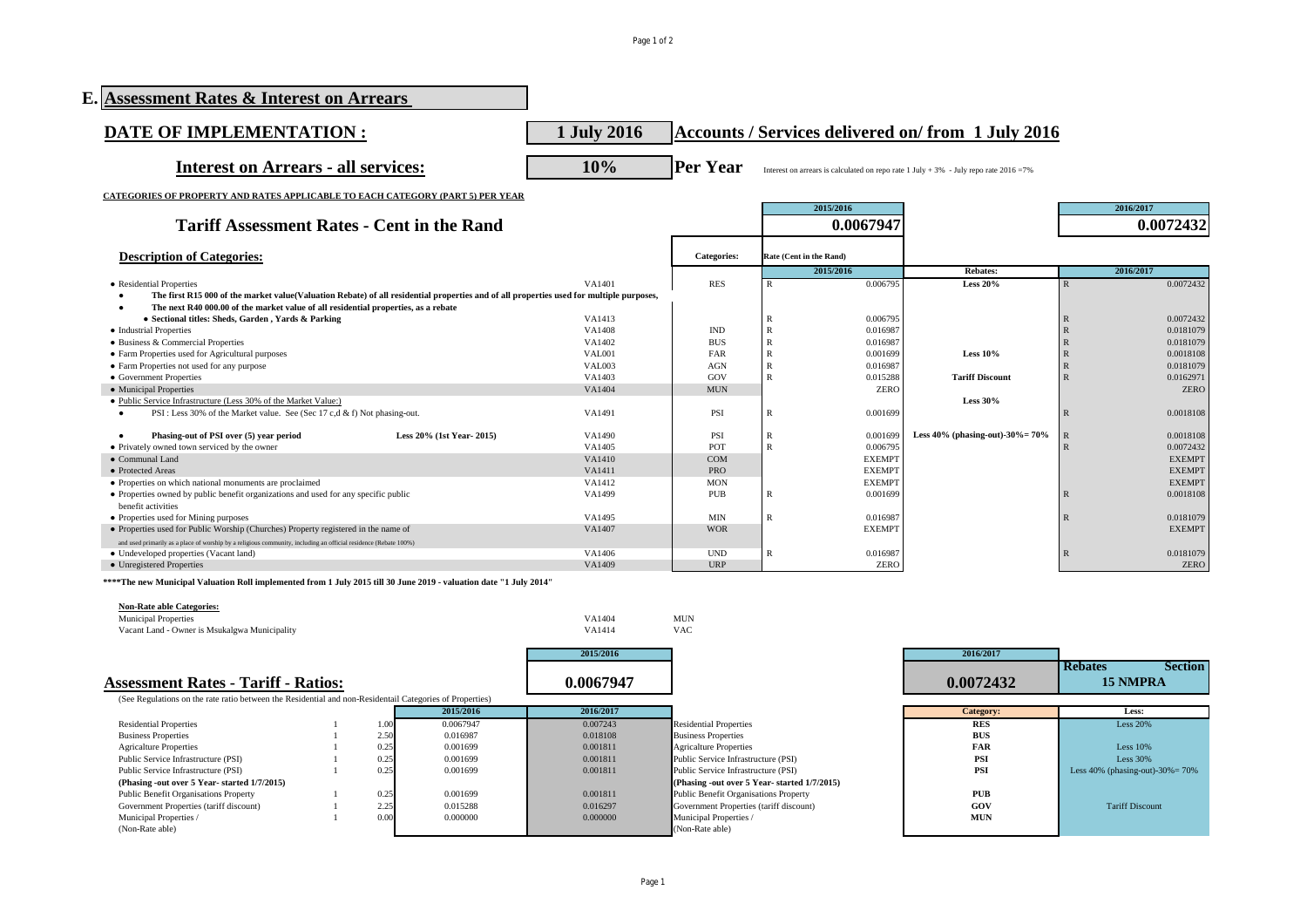Page 1 of 2

| E. Assessment Rates & Interest on Arrears                                                                                               |                         |                    |              |                         |                                                                                            |                                  |                          |
|-----------------------------------------------------------------------------------------------------------------------------------------|-------------------------|--------------------|--------------|-------------------------|--------------------------------------------------------------------------------------------|----------------------------------|--------------------------|
| DATE OF IMPLEMENTATION :                                                                                                                | 1 July 2016             |                    |              |                         | <b>Accounts / Services delivered on/from 1 July 2016</b>                                   |                                  |                          |
| <b>Interest on Arrears - all services:</b>                                                                                              | 10%                     | <b>Per Year</b>    |              |                         | Interest on arrears is calculated on repo rate $1$ July + 3% - July repo rate $2016 = 7\%$ |                                  |                          |
| <b>CATEGORIES OF PROPERTY AND RATES APPLICABLE TO EACH CATEGORY (PART 5) PER YEAR</b>                                                   |                         |                    |              |                         |                                                                                            |                                  |                          |
| <b>Tariff Assessment Rates - Cent in the Rand</b>                                                                                       |                         |                    |              | 2015/2016<br>0.0067947  | 2016/2017<br>0.0072432                                                                     |                                  |                          |
| <b>Description of Categories:</b>                                                                                                       |                         | <b>Categories:</b> |              | Rate (Cent in the Rand) |                                                                                            |                                  |                          |
|                                                                                                                                         |                         |                    |              | 2015/2016               | <b>Rebates:</b>                                                                            |                                  | 2016/2017                |
| • Residential Properties                                                                                                                | VA1401                  | <b>RES</b>         | R            | 0.006795                | <b>Less 20%</b>                                                                            |                                  | 0.0072432                |
| The first R15 000 of the market value(Valuation Rebate) of all residential properties and of all properties used for multiple purposes, |                         |                    |              |                         |                                                                                            |                                  |                          |
| The next R40 000.00 of the market value of all residential properties, as a rebate                                                      |                         |                    |              |                         |                                                                                            |                                  |                          |
| · Sectional titles: Sheds, Garden, Yards & Parking                                                                                      | VA1413                  |                    |              | 0.006795                |                                                                                            |                                  | 0.0072432                |
| • Industrial Properties                                                                                                                 | VA1408                  | <b>IND</b>         |              | 0.016987                |                                                                                            | $\overline{R}$                   | 0.0181079                |
| • Business & Commercial Properties                                                                                                      | VA1402                  | <b>BUS</b>         |              | 0.016987                |                                                                                            | $\overline{R}$                   | 0.0181079                |
| • Farm Properties used for Agricultural purposes                                                                                        | VAL001                  | <b>FAR</b>         |              | 0.001699                | Less $10\%$                                                                                |                                  | 0.0018108                |
| • Farm Properties not used for any purpose                                                                                              | <b>VAL003</b><br>VA1403 | <b>AGN</b><br>GOV  | $\mathbb{R}$ | 0.016987                | <b>Tariff Discount</b>                                                                     | $\overline{R}$<br>$\overline{R}$ | 0.0181079                |
| • Government Properties<br>• Municipal Properties                                                                                       | VA1404                  | <b>MUN</b>         |              | 0.015288<br><b>ZERO</b> |                                                                                            |                                  | 0.0162971<br><b>ZERO</b> |
| • Public Service Infrastructure (Less 30% of the Market Value:)                                                                         |                         |                    |              |                         | <b>Less 30%</b>                                                                            |                                  |                          |
| PSI: Less 30% of the Market value. See (Sec 17 c,d & f) Not phasing-out.                                                                | VA1491                  | PSI                | R            | 0.001699                |                                                                                            | R                                | 0.0018108                |
| Phasing-out of PSI over (5) year period<br>Less 20% (1st Year-2015)                                                                     | VA1490                  | PSI                |              | 0.001699                | Less $40\%$ (phasing-out)-30%= $70\%$                                                      |                                  | 0.0018108                |
| • Privately owned town serviced by the owner                                                                                            | VA1405                  | POT                | $\mathbf{R}$ | 0.006795                |                                                                                            |                                  | 0.0072432                |
| • Communal Land                                                                                                                         | VA1410                  | <b>COM</b>         |              | <b>EXEMPT</b>           |                                                                                            |                                  | <b>EXEMPT</b>            |
| • Protected Areas                                                                                                                       | VA1411                  | <b>PRO</b>         |              | <b>EXEMPT</b>           |                                                                                            |                                  | <b>EXEMPT</b>            |
| • Properties on which national monuments are proclaimed                                                                                 | VA1412                  | <b>MON</b>         |              | <b>EXEMPT</b>           |                                                                                            |                                  | <b>EXEMPT</b>            |
| • Properties owned by public benefit organizations and used for any specific public<br>benefit activities                               | VA1499                  | PUB                | R            | 0.001699                |                                                                                            | R                                | 0.0018108                |
| • Properties used for Mining purposes                                                                                                   | VA1495                  | <b>MIN</b>         |              | 0.016987                |                                                                                            | R                                | 0.0181079                |
| • Properties used for Public Worship (Churches) Property registered in the name of                                                      | VA1407                  | <b>WOR</b>         |              | <b>EXEMPT</b>           |                                                                                            |                                  | <b>EXEMPT</b>            |
| and used primarily as a place of worship by a religious community, including an official residence (Rebate 100%)                        |                         |                    |              |                         |                                                                                            |                                  |                          |
| • Undeveloped properties (Vacant land)                                                                                                  | VA1406                  | <b>UND</b>         | R            | 0.016987                |                                                                                            |                                  | 0.0181079                |
| • Unregistered Properties                                                                                                               | VA1409                  | <b>URP</b>         |              | <b>ZERO</b>             |                                                                                            |                                  | <b>ZERO</b>              |

**\*\*\*\*The new Municipal Valuation Roll implemented from 1 July 2015 till 30 June 2019 - valuation date "1 July 2014"**

| <b>Non-Rate able Categories:</b>                                                                         |      |           |           |                                             |            |                                          |
|----------------------------------------------------------------------------------------------------------|------|-----------|-----------|---------------------------------------------|------------|------------------------------------------|
| <b>Municipal Properties</b>                                                                              |      |           | VA1404    | <b>MUN</b>                                  |            |                                          |
| Vacant Land - Owner is Msukalgwa Municipality                                                            |      |           | VA1414    | <b>VAC</b>                                  |            |                                          |
|                                                                                                          |      |           | 2015/2016 |                                             | 2016/2017  |                                          |
|                                                                                                          |      |           |           |                                             |            | <b>Section</b><br><b>Rebates</b>         |
| <b>Assessment Rates - Tariff - Ratios:</b>                                                               |      |           | 0.0067947 |                                             | 0.0072432  | <b>15 NMPRA</b>                          |
| (See Regulations on the rate ratio between the Residential and non-Residentail Categories of Properties) |      |           |           |                                             |            |                                          |
|                                                                                                          |      | 2015/2016 | 2016/2017 |                                             | Category:  | Less:                                    |
| <b>Residential Properties</b>                                                                            | 1.00 | 0.0067947 | 0.007243  | <b>Residential Properties</b>               | <b>RES</b> | <b>Less 20%</b>                          |
| <b>Business Properties</b>                                                                               | 2.50 | 0.016987  | 0.018108  | <b>Business Properties</b>                  | <b>BUS</b> |                                          |
| <b>Agricalture Properties</b>                                                                            | 0.25 | 0.001699  | 0.001811  | <b>Agricalture Properties</b>               | <b>FAR</b> | Less $10%$                               |
| Public Service Infrastructure (PSI)                                                                      | 0.25 | 0.001699  | 0.001811  | Public Service Infrastructure (PSI)         | <b>PSI</b> | Less 30%                                 |
| Public Service Infrastructure (PSI)                                                                      | 0.25 | 0.001699  | 0.001811  | Public Service Infrastructure (PSI)         | <b>PSI</b> | Less $40\%$ (phasing-out)- $30\% = 70\%$ |
| (Phasing -out over 5 Year-started 1/7/2015)                                                              |      |           |           | (Phasing -out over 5 Year-started 1/7/2015) |            |                                          |
| Public Benefit Organisations Property                                                                    | 0.25 | 0.001699  | 0.001811  | Public Benefit Organisations Property       | <b>PUB</b> |                                          |
| Government Properties (tariff discount)                                                                  | 2.25 | 0.015288  | 0.016297  | Government Properties (tariff discount)     | GOV        | <b>Tariff Discount</b>                   |
| Municipal Properties /                                                                                   | 0.00 | 0.000000  | 0.000000  | Municipal Properties /                      | <b>MUN</b> |                                          |
| (Non-Rate able)                                                                                          |      |           |           | (Non-Rate able)                             |            |                                          |